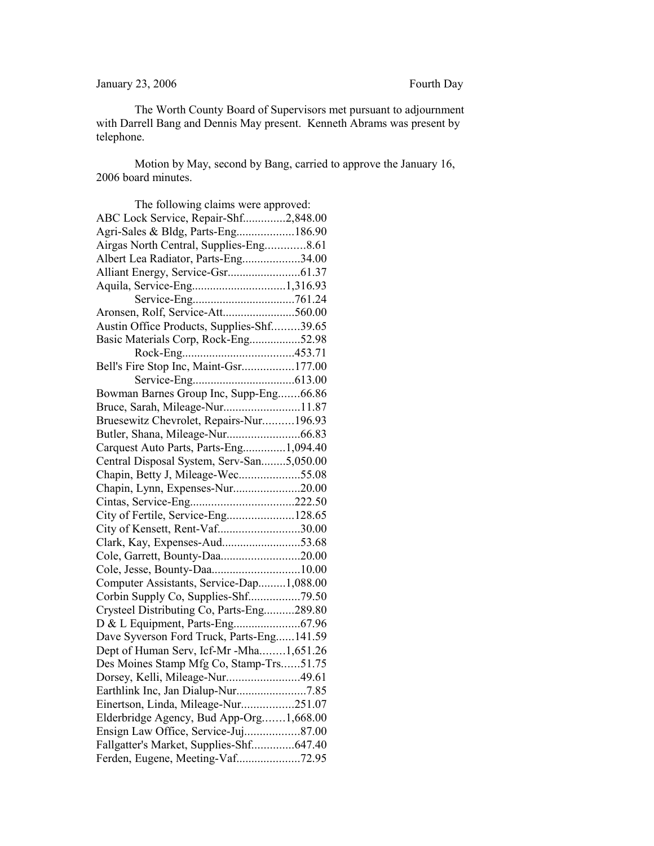## January 23, 2006 Fourth Day

The Worth County Board of Supervisors met pursuant to adjournment with Darrell Bang and Dennis May present. Kenneth Abrams was present by telephone.

Motion by May, second by Bang, carried to approve the January 16, 2006 board minutes.

| The following claims were approved:       |  |
|-------------------------------------------|--|
| ABC Lock Service, Repair-Shf2,848.00      |  |
| Agri-Sales & Bldg, Parts-Eng186.90        |  |
| Airgas North Central, Supplies-Eng8.61    |  |
| Albert Lea Radiator, Parts-Eng34.00       |  |
|                                           |  |
|                                           |  |
|                                           |  |
|                                           |  |
| Austin Office Products, Supplies-Shf39.65 |  |
| Basic Materials Corp, Rock-Eng52.98       |  |
|                                           |  |
| Bell's Fire Stop Inc, Maint-Gsr177.00     |  |
|                                           |  |
| Bowman Barnes Group Inc, Supp-Eng66.86    |  |
| Bruce, Sarah, Mileage-Nur11.87            |  |
| Bruesewitz Chevrolet, Repairs-Nur196.93   |  |
|                                           |  |
| Carquest Auto Parts, Parts-Eng1,094.40    |  |
| Central Disposal System, Serv-San5,050.00 |  |
| Chapin, Betty J, Mileage-Wec55.08         |  |
| Chapin, Lynn, Expenses-Nur20.00           |  |
|                                           |  |
| City of Fertile, Service-Eng128.65        |  |
| City of Kensett, Rent-Vaf30.00            |  |
| Clark, Kay, Expenses-Aud53.68             |  |
| Cole, Garrett, Bounty-Daa20.00            |  |
| Cole, Jesse, Bounty-Daa10.00              |  |
| Computer Assistants, Service-Dap1,088.00  |  |
|                                           |  |
| Crysteel Distributing Co, Parts-Eng289.80 |  |
|                                           |  |
| Dave Syverson Ford Truck, Parts-Eng141.59 |  |
| Dept of Human Serv, Icf-Mr -Mha1,651.26   |  |
| Des Moines Stamp Mfg Co, Stamp-Trs51.75   |  |
| Dorsey, Kelli, Mileage-Nur49.61           |  |
|                                           |  |
| Einertson, Linda, Mileage-Nur251.07       |  |
| Elderbridge Agency, Bud App-Org1,668.00   |  |
| Ensign Law Office, Service-Juj87.00       |  |
| Fallgatter's Market, Supplies-Shf647.40   |  |
| Ferden, Eugene, Meeting-Vaf72.95          |  |
|                                           |  |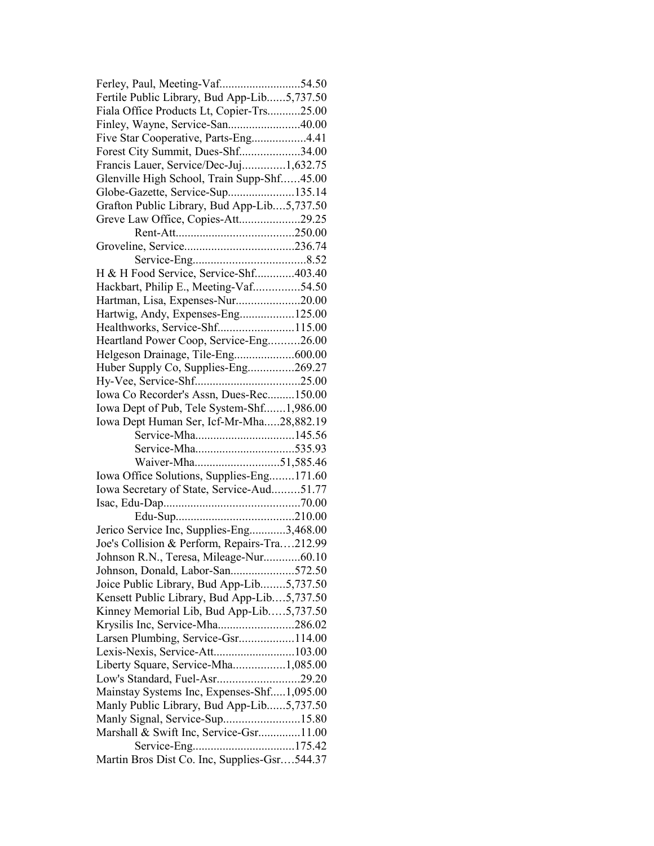| Fertile Public Library, Bud App-Lib5,737.50                   |  |
|---------------------------------------------------------------|--|
| Fiala Office Products Lt, Copier-Trs25.00                     |  |
| Finley, Wayne, Service-San40.00                               |  |
| Five Star Cooperative, Parts-Eng4.41                          |  |
| Forest City Summit, Dues-Shf34.00                             |  |
| Francis Lauer, Service/Dec-Juj1,632.75                        |  |
| Glenville High School, Train Supp-Shf45.00                    |  |
| Globe-Gazette, Service-Sup135.14                              |  |
| Grafton Public Library, Bud App-Lib5,737.50                   |  |
| Greve Law Office, Copies-Att29.25                             |  |
|                                                               |  |
|                                                               |  |
|                                                               |  |
| H & H Food Service, Service-Shf403.40                         |  |
| Hackbart, Philip E., Meeting-Vaf54.50                         |  |
| Hartman, Lisa, Expenses-Nur20.00                              |  |
| Hartwig, Andy, Expenses-Eng125.00                             |  |
| Healthworks, Service-Shf115.00                                |  |
| Heartland Power Coop, Service-Eng26.00                        |  |
|                                                               |  |
| Huber Supply Co, Supplies-Eng269.27                           |  |
|                                                               |  |
| Iowa Co Recorder's Assn, Dues-Rec150.00                       |  |
| Iowa Dept of Pub, Tele System-Shf1,986.00                     |  |
|                                                               |  |
| Iowa Dept Human Ser, Icf-Mr-Mha28,882.19<br>Service-Mha145.56 |  |
|                                                               |  |
|                                                               |  |
| Waiver-Mha51,585.46                                           |  |
| Iowa Office Solutions, Supplies-Eng171.60                     |  |
| Iowa Secretary of State, Service-Aud51.77                     |  |
|                                                               |  |
|                                                               |  |
| Jerico Service Inc, Supplies-Eng3,468.00                      |  |
| Joe's Collision & Perform, Repairs-Tra212.99                  |  |
| Johnson R.N., Teresa, Mileage-Nur60.10                        |  |
| Johnson, Donald, Labor-San572.50                              |  |
| Joice Public Library, Bud App-Lib5,737.50                     |  |
| Kensett Public Library, Bud App-Lib5,737.50                   |  |
| Kinney Memorial Lib, Bud App-Lib5,737.50                      |  |
| Krysilis Inc, Service-Mha286.02                               |  |
| Larsen Plumbing, Service-Gsr114.00                            |  |
| Lexis-Nexis, Service-Att103.00                                |  |
| Liberty Square, Service-Mha1,085.00                           |  |
| Low's Standard, Fuel-Asr29.20                                 |  |
| Mainstay Systems Inc, Expenses-Shf1,095.00                    |  |
| Manly Public Library, Bud App-Lib5,737.50                     |  |
| Manly Signal, Service-Sup15.80                                |  |
| Marshall & Swift Inc, Service-Gsr11.00                        |  |
|                                                               |  |
| Martin Bros Dist Co. Inc, Supplies-Gsr544.37                  |  |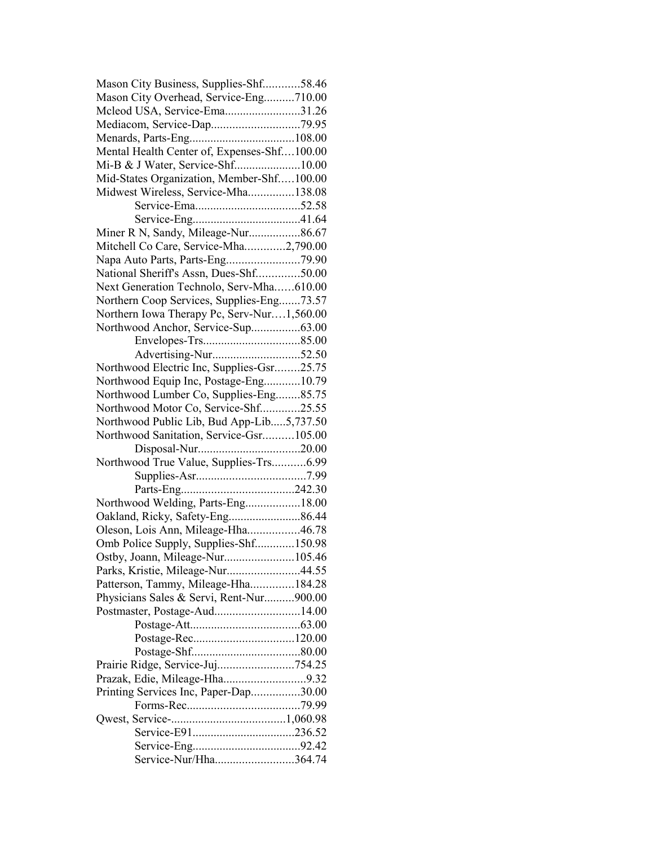| Mason City Business, Supplies-Shf58.46      |  |
|---------------------------------------------|--|
| Mason City Overhead, Service-Eng710.00      |  |
| Mcleod USA, Service-Ema31.26                |  |
|                                             |  |
|                                             |  |
| Mental Health Center of, Expenses-Shf100.00 |  |
|                                             |  |
| Mid-States Organization, Member-Shf100.00   |  |
| Midwest Wireless, Service-Mha138.08         |  |
|                                             |  |
|                                             |  |
| Miner R N, Sandy, Mileage-Nur86.67          |  |
| Mitchell Co Care, Service-Mha2,790.00       |  |
| Napa Auto Parts, Parts-Eng79.90             |  |
| National Sheriff's Assn, Dues-Shf50.00      |  |
| Next Generation Technolo, Serv-Mha610.00    |  |
| Northern Coop Services, Supplies-Eng73.57   |  |
| Northern Iowa Therapy Pc, Serv-Nur1,560.00  |  |
| Northwood Anchor, Service-Sup63.00          |  |
|                                             |  |
|                                             |  |
|                                             |  |
| Northwood Electric Inc, Supplies-Gsr25.75   |  |
| Northwood Equip Inc, Postage-Eng10.79       |  |
| Northwood Lumber Co, Supplies-Eng85.75      |  |
| Northwood Motor Co, Service-Shf25.55        |  |
| Northwood Public Lib, Bud App-Lib5,737.50   |  |
| Northwood Sanitation, Service-Gsr105.00     |  |
|                                             |  |
| Northwood True Value, Supplies-Trs6.99      |  |
|                                             |  |
|                                             |  |
| Northwood Welding, Parts-Eng18.00           |  |
|                                             |  |
| Oleson, Lois Ann, Mileage-Hha46.78          |  |
| Omb Police Supply, Supplies-Shf150.98       |  |
| Ostby, Joann, Mileage-Nur105.46             |  |
| Parks, Kristie, Mileage-Nur44.55            |  |
| Patterson, Tammy, Mileage-Hha184.28         |  |
| Physicians Sales & Servi, Rent-Nur900.00    |  |
| Postmaster, Postage-Aud14.00                |  |
|                                             |  |
|                                             |  |
|                                             |  |
| Prairie Ridge, Service-Juj754.25            |  |
| Prazak, Edie, Mileage-Hha9.32               |  |
| Printing Services Inc, Paper-Dap30.00       |  |
|                                             |  |
|                                             |  |
|                                             |  |
|                                             |  |
| Service-Nur/Hha364.74                       |  |
|                                             |  |